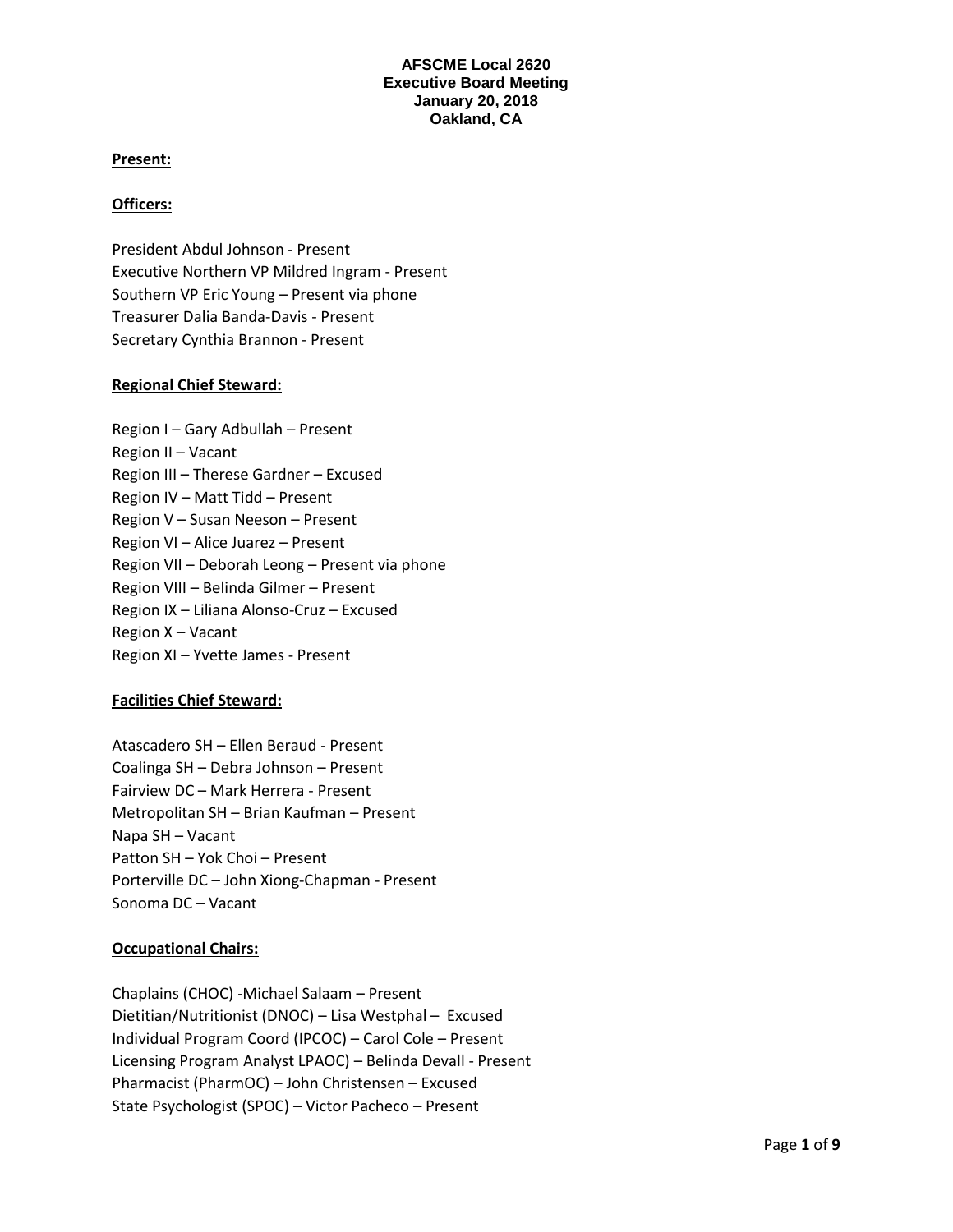## **Present:**

## **Officers:**

President Abdul Johnson - Present Executive Northern VP Mildred Ingram - Present Southern VP Eric Young – Present via phone Treasurer Dalia Banda-Davis - Present Secretary Cynthia Brannon - Present

## **Regional Chief Steward:**

Region I – Gary Adbullah – Present Region II – Vacant Region III – Therese Gardner – Excused Region IV – Matt Tidd – Present Region V – Susan Neeson – Present Region VI – Alice Juarez – Present Region VII – Deborah Leong – Present via phone Region VIII – Belinda Gilmer – Present Region IX – Liliana Alonso-Cruz – Excused Region X – Vacant Region XI – Yvette James - Present

#### **Facilities Chief Steward:**

Atascadero SH – Ellen Beraud - Present Coalinga SH – Debra Johnson – Present Fairview DC – Mark Herrera - Present Metropolitan SH – Brian Kaufman – Present Napa SH – Vacant Patton SH – Yok Choi – Present Porterville DC – John Xiong-Chapman - Present Sonoma DC – Vacant

#### **Occupational Chairs:**

Chaplains (CHOC) -Michael Salaam – Present Dietitian/Nutritionist (DNOC) – Lisa Westphal – Excused Individual Program Coord (IPCOC) – Carol Cole – Present Licensing Program Analyst LPAOC) – Belinda Devall - Present Pharmacist (PharmOC) – John Christensen – Excused State Psychologist (SPOC) – Victor Pacheco – Present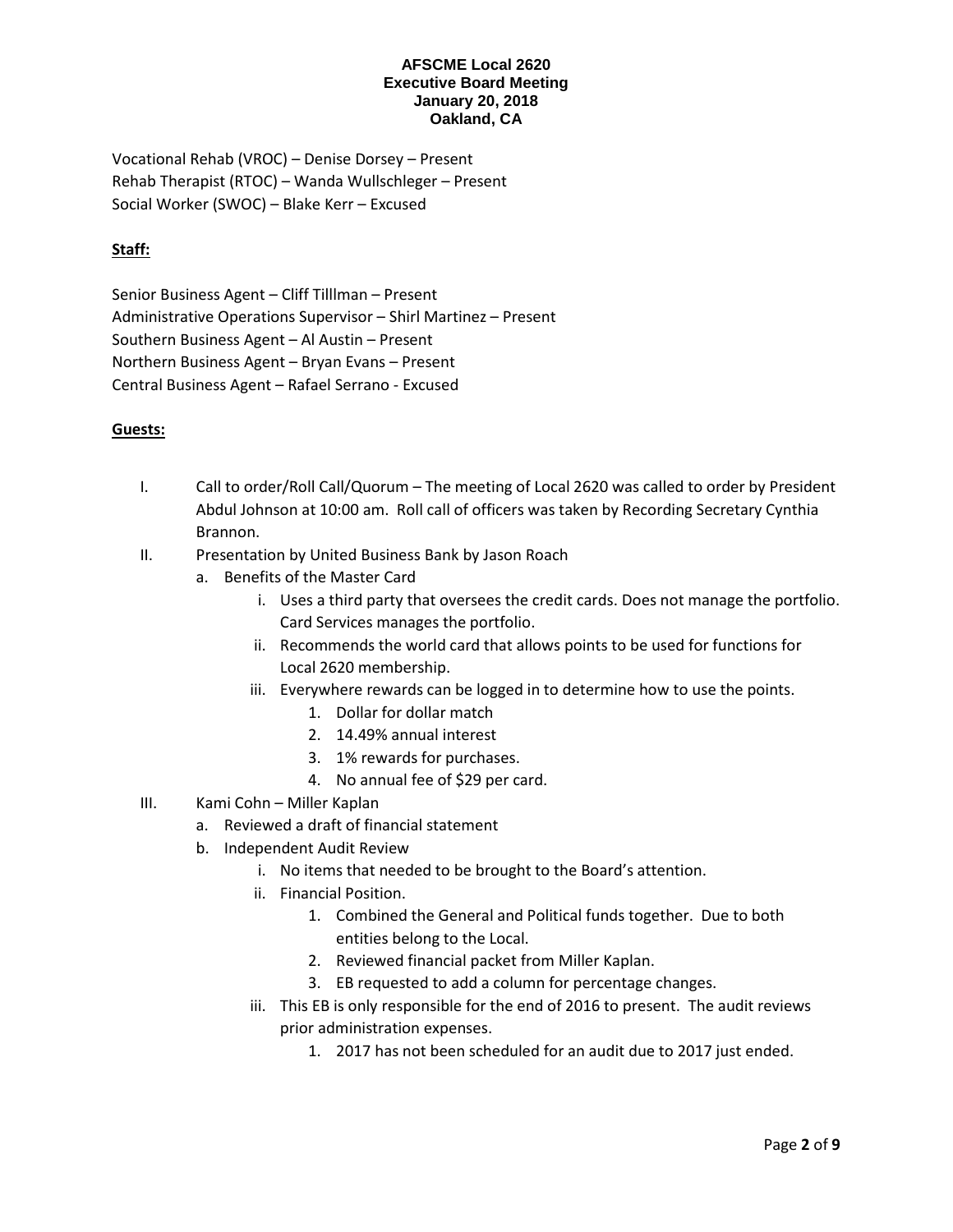Vocational Rehab (VROC) – Denise Dorsey – Present Rehab Therapist (RTOC) – Wanda Wullschleger – Present Social Worker (SWOC) – Blake Kerr – Excused

# **Staff:**

Senior Business Agent – Cliff Tilllman – Present Administrative Operations Supervisor – Shirl Martinez – Present Southern Business Agent – Al Austin – Present Northern Business Agent – Bryan Evans – Present Central Business Agent – Rafael Serrano - Excused

# **Guests:**

- I. Call to order/Roll Call/Quorum The meeting of Local 2620 was called to order by President Abdul Johnson at 10:00 am. Roll call of officers was taken by Recording Secretary Cynthia Brannon.
- II. Presentation by United Business Bank by Jason Roach
	- a. Benefits of the Master Card
		- i. Uses a third party that oversees the credit cards. Does not manage the portfolio. Card Services manages the portfolio.
		- ii. Recommends the world card that allows points to be used for functions for Local 2620 membership.
		- iii. Everywhere rewards can be logged in to determine how to use the points.
			- 1. Dollar for dollar match
			- 2. 14.49% annual interest
			- 3. 1% rewards for purchases.
			- 4. No annual fee of \$29 per card.
- III. Kami Cohn Miller Kaplan
	- a. Reviewed a draft of financial statement
	- b. Independent Audit Review
		- i. No items that needed to be brought to the Board's attention.
		- ii. Financial Position.
			- 1. Combined the General and Political funds together. Due to both entities belong to the Local.
			- 2. Reviewed financial packet from Miller Kaplan.
			- 3. EB requested to add a column for percentage changes.
		- iii. This EB is only responsible for the end of 2016 to present. The audit reviews prior administration expenses.
			- 1. 2017 has not been scheduled for an audit due to 2017 just ended.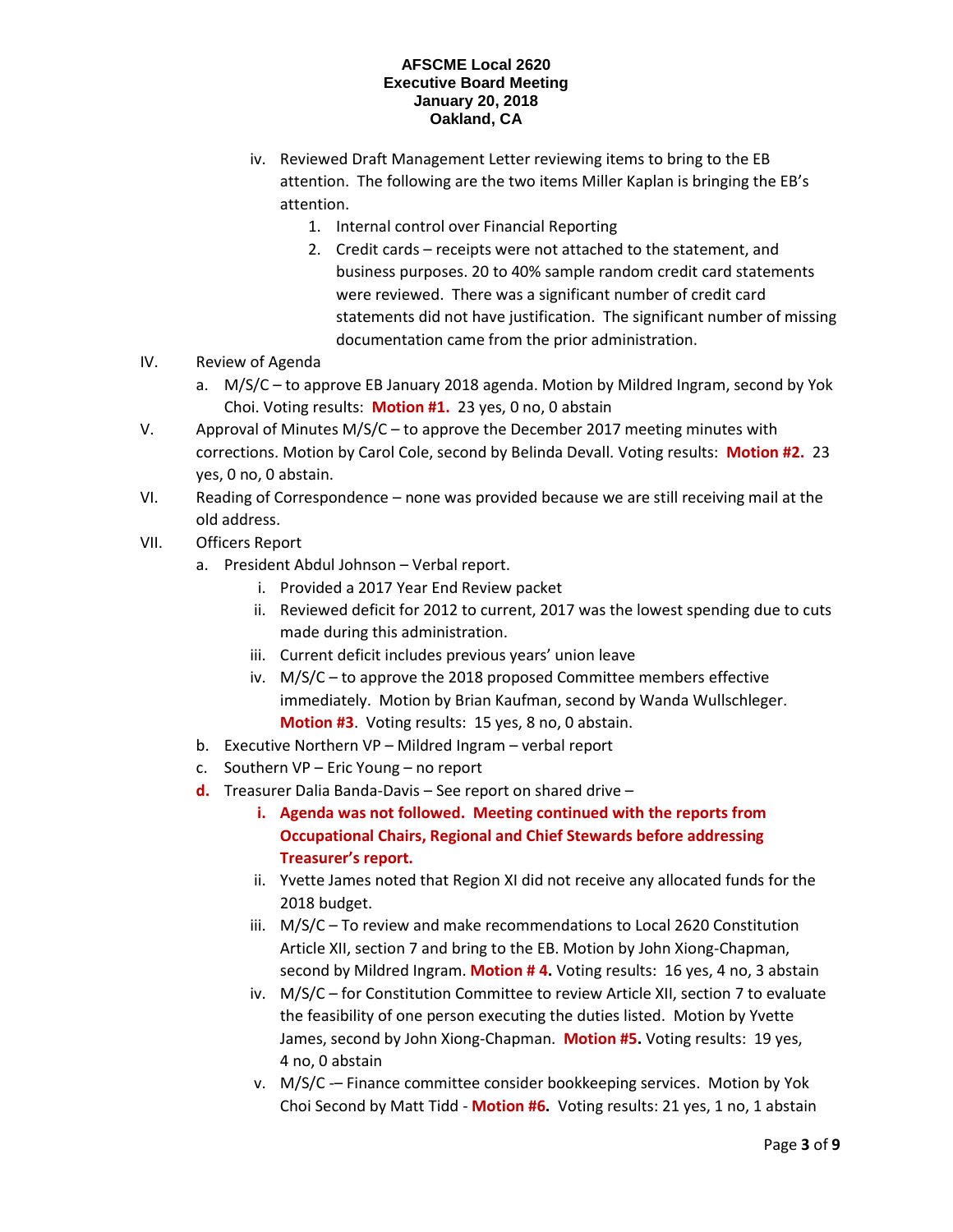- iv. Reviewed Draft Management Letter reviewing items to bring to the EB attention. The following are the two items Miller Kaplan is bringing the EB's attention.
	- 1. Internal control over Financial Reporting
	- 2. Credit cards receipts were not attached to the statement, and business purposes. 20 to 40% sample random credit card statements were reviewed. There was a significant number of credit card statements did not have justification. The significant number of missing documentation came from the prior administration.
- IV. Review of Agenda
	- a. M/S/C to approve EB January 2018 agenda. Motion by Mildred Ingram, second by Yok Choi. Voting results: **Motion #1.** 23 yes, 0 no, 0 abstain
- V. Approval of Minutes M/S/C to approve the December 2017 meeting minutes with corrections. Motion by Carol Cole, second by Belinda Devall. Voting results: **Motion #2.** 23 yes, 0 no, 0 abstain.
- VI. Reading of Correspondence none was provided because we are still receiving mail at the old address.
- VII. Officers Report
	- a. President Abdul Johnson Verbal report.
		- i. Provided a 2017 Year End Review packet
		- ii. Reviewed deficit for 2012 to current, 2017 was the lowest spending due to cuts made during this administration.
		- iii. Current deficit includes previous years' union leave
		- iv. M/S/C to approve the 2018 proposed Committee members effective immediately. Motion by Brian Kaufman, second by Wanda Wullschleger. **Motion #3**. Voting results: 15 yes, 8 no, 0 abstain.
	- b. Executive Northern VP Mildred Ingram verbal report
	- c. Southern VP Eric Young no report
	- **d.** Treasurer Dalia Banda-Davis See report on shared drive
		- **i. Agenda was not followed. Meeting continued with the reports from Occupational Chairs, Regional and Chief Stewards before addressing Treasurer's report.**
		- ii. Yvette James noted that Region XI did not receive any allocated funds for the 2018 budget.
		- iii. M/S/C To review and make recommendations to Local 2620 Constitution Article XII, section 7 and bring to the EB. Motion by John Xiong-Chapman, second by Mildred Ingram. **Motion # 4.** Voting results: 16 yes, 4 no, 3 abstain
		- iv. M/S/C for Constitution Committee to review Article XII, section 7 to evaluate the feasibility of one person executing the duties listed. Motion by Yvette James, second by John Xiong-Chapman. **Motion #5.** Voting results: 19 yes, 4 no, 0 abstain
		- v. M/S/C -– Finance committee consider bookkeeping services. Motion by Yok Choi Second by Matt Tidd - **Motion #6.** Voting results: 21 yes, 1 no, 1 abstain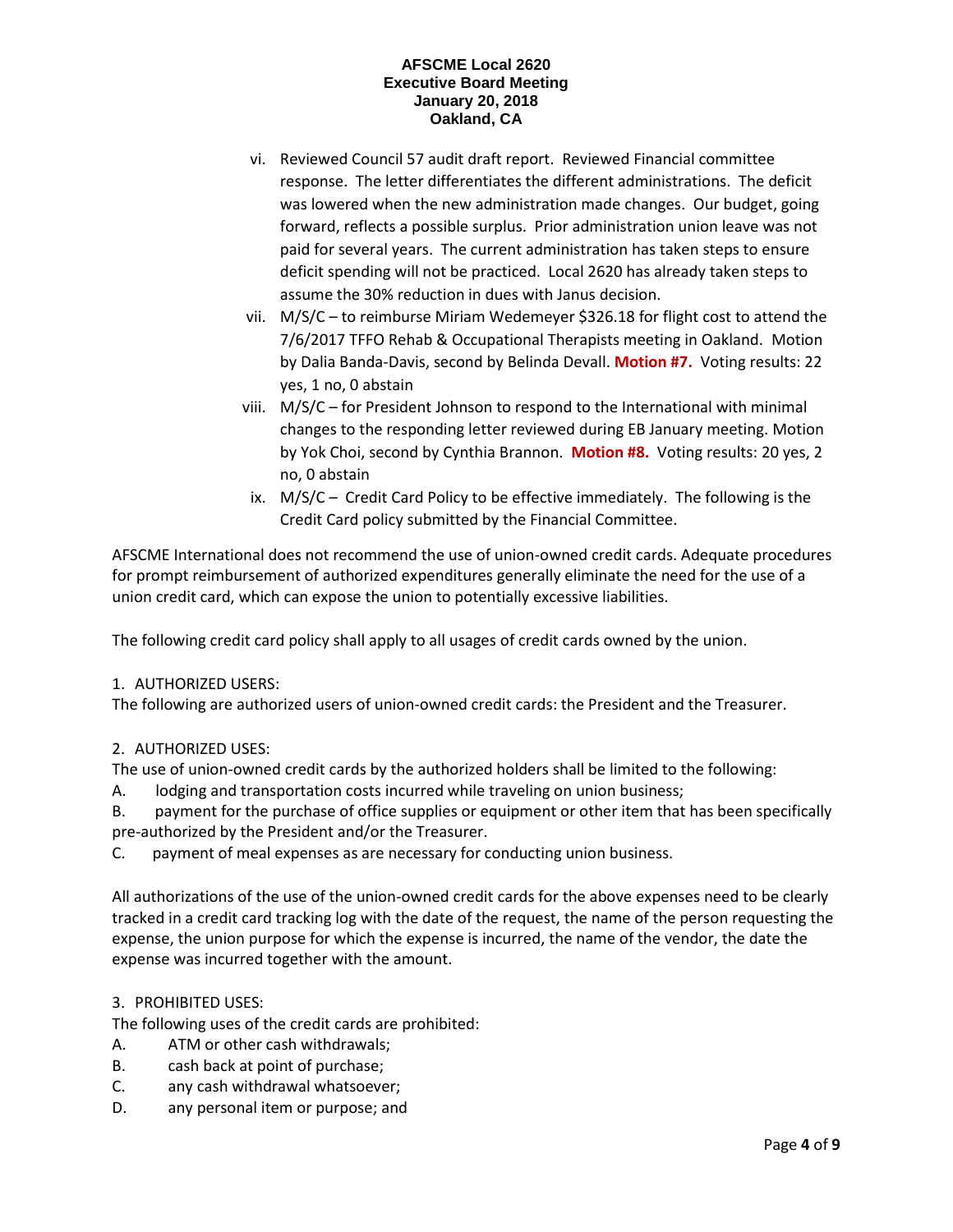- vi. Reviewed Council 57 audit draft report. Reviewed Financial committee response. The letter differentiates the different administrations. The deficit was lowered when the new administration made changes. Our budget, going forward, reflects a possible surplus. Prior administration union leave was not paid for several years. The current administration has taken steps to ensure deficit spending will not be practiced. Local 2620 has already taken steps to assume the 30% reduction in dues with Janus decision.
- vii. M/S/C to reimburse Miriam Wedemeyer \$326.18 for flight cost to attend the 7/6/2017 TFFO Rehab & Occupational Therapists meeting in Oakland. Motion by Dalia Banda-Davis, second by Belinda Devall. **Motion #7.** Voting results: 22 yes, 1 no, 0 abstain
- viii. M/S/C for President Johnson to respond to the International with minimal changes to the responding letter reviewed during EB January meeting. Motion by Yok Choi, second by Cynthia Brannon. **Motion #8.** Voting results: 20 yes, 2 no, 0 abstain
- ix. M/S/C Credit Card Policy to be effective immediately. The following is the Credit Card policy submitted by the Financial Committee.

AFSCME International does not recommend the use of union-owned credit cards. Adequate procedures for prompt reimbursement of authorized expenditures generally eliminate the need for the use of a union credit card, which can expose the union to potentially excessive liabilities.

The following credit card policy shall apply to all usages of credit cards owned by the union.

# 1. AUTHORIZED USERS:

The following are authorized users of union-owned credit cards: the President and the Treasurer.

# 2. AUTHORIZED USES:

The use of union-owned credit cards by the authorized holders shall be limited to the following:

A. lodging and transportation costs incurred while traveling on union business;

B. payment for the purchase of office supplies or equipment or other item that has been specifically pre-authorized by the President and/or the Treasurer.

C. payment of meal expenses as are necessary for conducting union business.

All authorizations of the use of the union-owned credit cards for the above expenses need to be clearly tracked in a credit card tracking log with the date of the request, the name of the person requesting the expense, the union purpose for which the expense is incurred, the name of the vendor, the date the expense was incurred together with the amount.

# 3. PROHIBITED USES:

The following uses of the credit cards are prohibited:

- A. ATM or other cash withdrawals;
- B. cash back at point of purchase;
- C. any cash withdrawal whatsoever;
- D. any personal item or purpose; and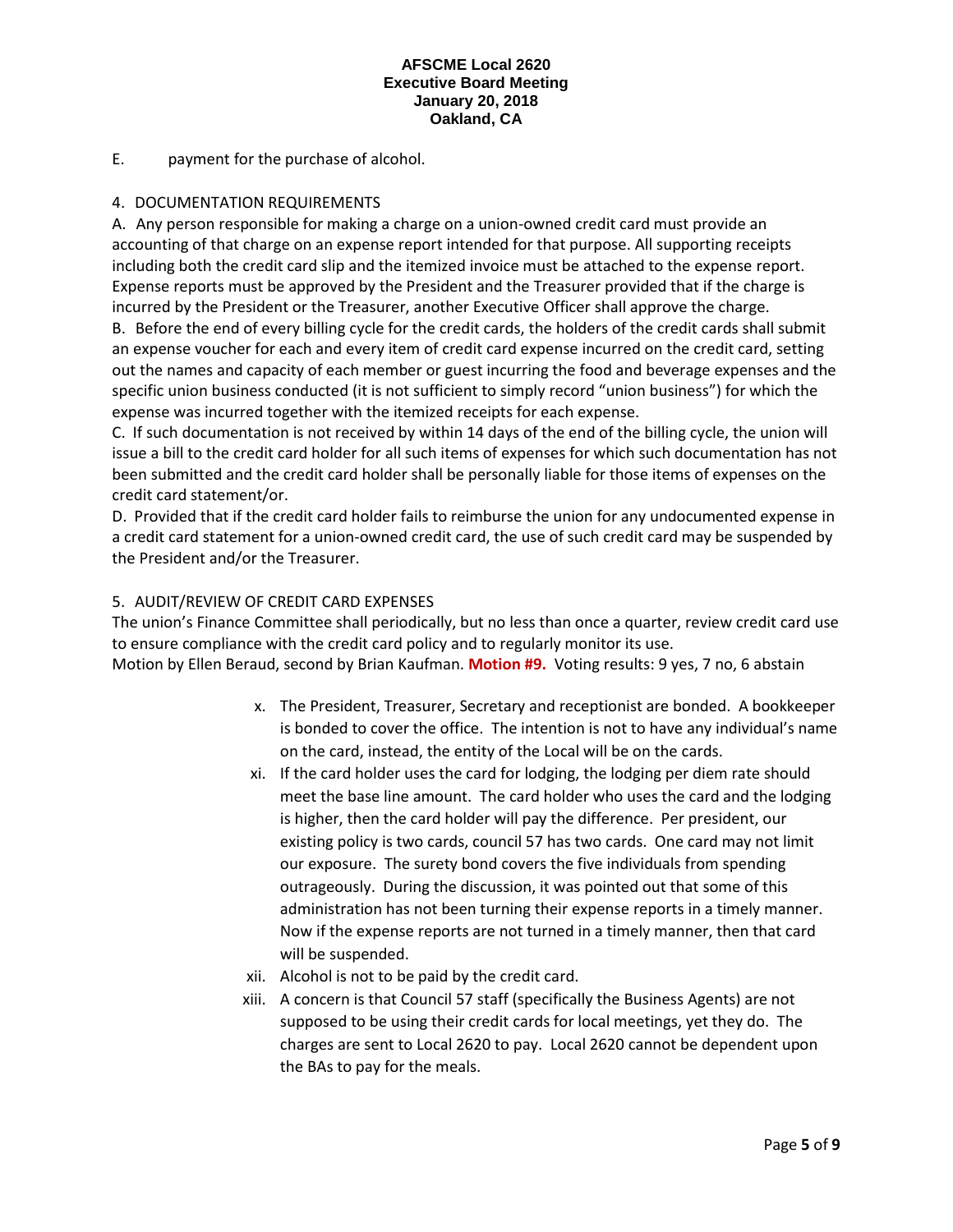# E. payment for the purchase of alcohol.

# 4. DOCUMENTATION REQUIREMENTS

A. Any person responsible for making a charge on a union-owned credit card must provide an accounting of that charge on an expense report intended for that purpose. All supporting receipts including both the credit card slip and the itemized invoice must be attached to the expense report. Expense reports must be approved by the President and the Treasurer provided that if the charge is incurred by the President or the Treasurer, another Executive Officer shall approve the charge.

B. Before the end of every billing cycle for the credit cards, the holders of the credit cards shall submit an expense voucher for each and every item of credit card expense incurred on the credit card, setting out the names and capacity of each member or guest incurring the food and beverage expenses and the specific union business conducted (it is not sufficient to simply record "union business") for which the expense was incurred together with the itemized receipts for each expense.

C. If such documentation is not received by within 14 days of the end of the billing cycle, the union will issue a bill to the credit card holder for all such items of expenses for which such documentation has not been submitted and the credit card holder shall be personally liable for those items of expenses on the credit card statement/or.

D. Provided that if the credit card holder fails to reimburse the union for any undocumented expense in a credit card statement for a union-owned credit card, the use of such credit card may be suspended by the President and/or the Treasurer.

# 5. AUDIT/REVIEW OF CREDIT CARD EXPENSES

The union's Finance Committee shall periodically, but no less than once a quarter, review credit card use to ensure compliance with the credit card policy and to regularly monitor its use.

Motion by Ellen Beraud, second by Brian Kaufman. **Motion #9.** Voting results: 9 yes, 7 no, 6 abstain

- x. The President, Treasurer, Secretary and receptionist are bonded. A bookkeeper is bonded to cover the office. The intention is not to have any individual's name on the card, instead, the entity of the Local will be on the cards.
- xi. If the card holder uses the card for lodging, the lodging per diem rate should meet the base line amount. The card holder who uses the card and the lodging is higher, then the card holder will pay the difference. Per president, our existing policy is two cards, council 57 has two cards. One card may not limit our exposure. The surety bond covers the five individuals from spending outrageously. During the discussion, it was pointed out that some of this administration has not been turning their expense reports in a timely manner. Now if the expense reports are not turned in a timely manner, then that card will be suspended.
- xii. Alcohol is not to be paid by the credit card.
- xiii. A concern is that Council 57 staff (specifically the Business Agents) are not supposed to be using their credit cards for local meetings, yet they do. The charges are sent to Local 2620 to pay. Local 2620 cannot be dependent upon the BAs to pay for the meals.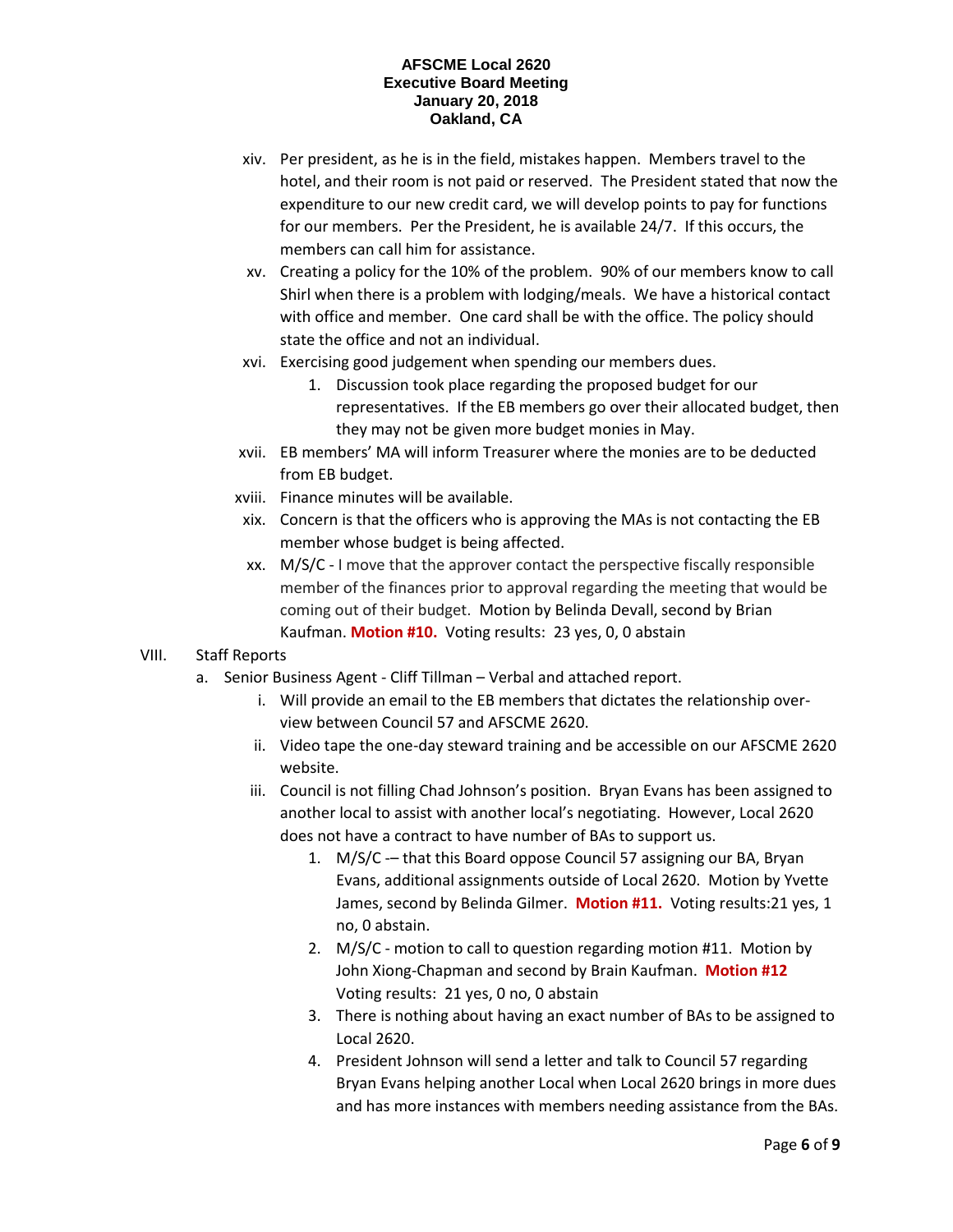- xiv. Per president, as he is in the field, mistakes happen. Members travel to the hotel, and their room is not paid or reserved. The President stated that now the expenditure to our new credit card, we will develop points to pay for functions for our members. Per the President, he is available 24/7. If this occurs, the members can call him for assistance.
- xv. Creating a policy for the 10% of the problem. 90% of our members know to call Shirl when there is a problem with lodging/meals. We have a historical contact with office and member. One card shall be with the office. The policy should state the office and not an individual.
- xvi. Exercising good judgement when spending our members dues.
	- 1. Discussion took place regarding the proposed budget for our representatives. If the EB members go over their allocated budget, then they may not be given more budget monies in May.
- xvii. EB members' MA will inform Treasurer where the monies are to be deducted from EB budget.
- xviii. Finance minutes will be available.
- xix. Concern is that the officers who is approving the MAs is not contacting the EB member whose budget is being affected.
- xx. M/S/C I move that the approver contact the perspective fiscally responsible member of the finances prior to approval regarding the meeting that would be coming out of their budget. Motion by Belinda Devall, second by Brian Kaufman. **Motion #10.** Voting results: 23 yes, 0, 0 abstain
- VIII. Staff Reports
	- a. Senior Business Agent Cliff Tillman Verbal and attached report.
		- i. Will provide an email to the EB members that dictates the relationship overview between Council 57 and AFSCME 2620.
		- ii. Video tape the one-day steward training and be accessible on our AFSCME 2620 website.
		- iii. Council is not filling Chad Johnson's position. Bryan Evans has been assigned to another local to assist with another local's negotiating. However, Local 2620 does not have a contract to have number of BAs to support us.
			- 1. M/S/C -– that this Board oppose Council 57 assigning our BA, Bryan Evans, additional assignments outside of Local 2620. Motion by Yvette James, second by Belinda Gilmer. **Motion #11.** Voting results:21 yes, 1 no, 0 abstain.
			- 2. M/S/C motion to call to question regarding motion #11. Motion by John Xiong-Chapman and second by Brain Kaufman. **Motion #12**  Voting results: 21 yes, 0 no, 0 abstain
			- 3. There is nothing about having an exact number of BAs to be assigned to Local 2620.
			- 4. President Johnson will send a letter and talk to Council 57 regarding Bryan Evans helping another Local when Local 2620 brings in more dues and has more instances with members needing assistance from the BAs.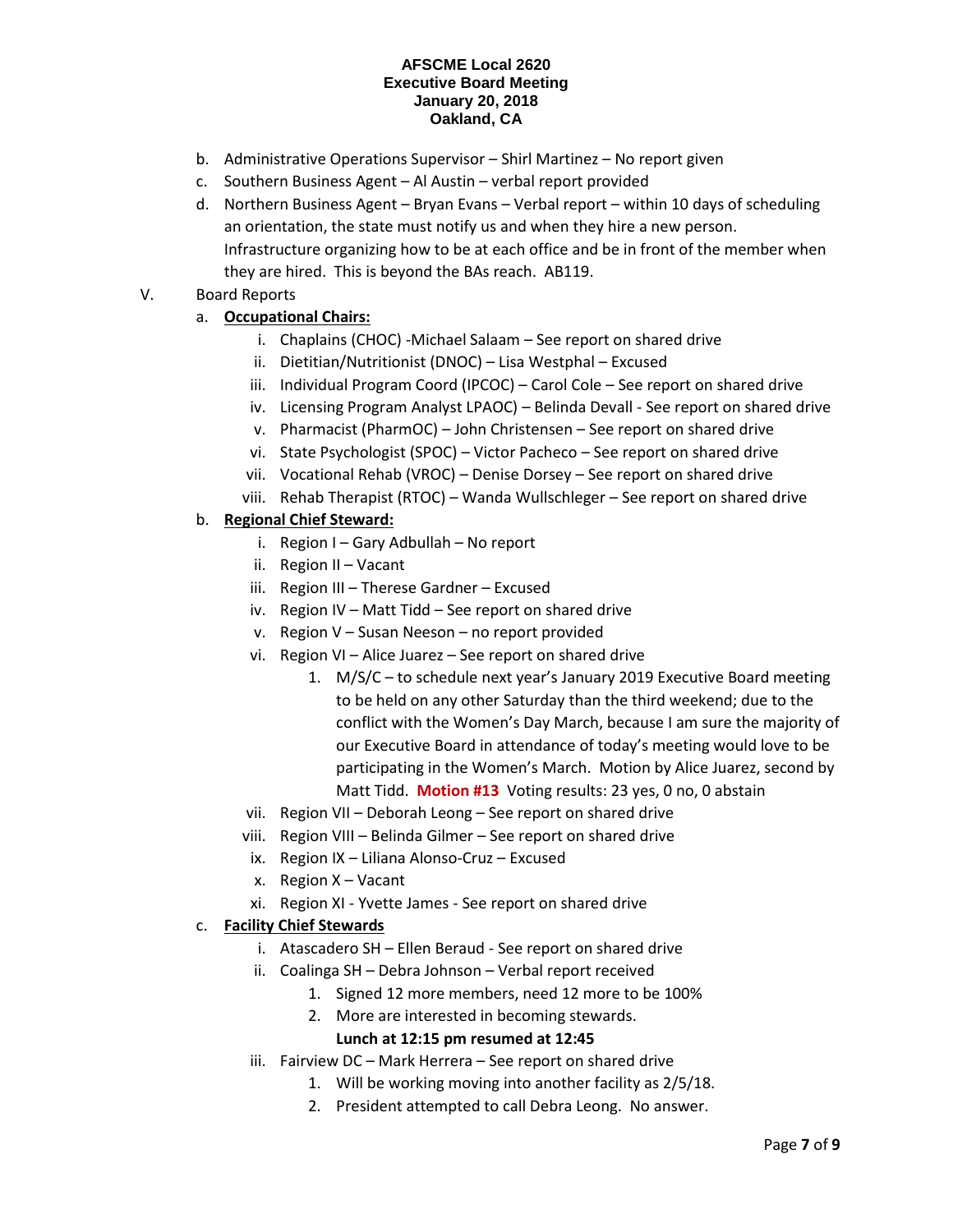- b. Administrative Operations Supervisor Shirl Martinez No report given
- c. Southern Business Agent Al Austin verbal report provided
- d. Northern Business Agent Bryan Evans Verbal report within 10 days of scheduling an orientation, the state must notify us and when they hire a new person. Infrastructure organizing how to be at each office and be in front of the member when they are hired. This is beyond the BAs reach. AB119.

# V. Board Reports

# a. **Occupational Chairs:**

- i. Chaplains (CHOC) -Michael Salaam See report on shared drive
- ii. Dietitian/Nutritionist (DNOC) Lisa Westphal Excused
- iii. Individual Program Coord (IPCOC) Carol Cole See report on shared drive
- iv. Licensing Program Analyst LPAOC) Belinda Devall See report on shared drive
- v. Pharmacist (PharmOC) John Christensen See report on shared drive
- vi. State Psychologist (SPOC) Victor Pacheco See report on shared drive
- vii. Vocational Rehab (VROC) Denise Dorsey See report on shared drive
- viii. Rehab Therapist (RTOC) Wanda Wullschleger See report on shared drive

# b. **Regional Chief Steward:**

- i. Region I Gary Adbullah No report
- ii. Region II Vacant
- iii. Region III Therese Gardner Excused
- iv. Region IV Matt Tidd See report on shared drive
- v. Region V Susan Neeson no report provided
- vi. Region VI Alice Juarez See report on shared drive
	- 1. M/S/C to schedule next year's January 2019 Executive Board meeting to be held on any other Saturday than the third weekend; due to the conflict with the Women's Day March, because I am sure the majority of our Executive Board in attendance of today's meeting would love to be participating in the Women's March. Motion by Alice Juarez, second by Matt Tidd. **Motion #13** Voting results: 23 yes, 0 no, 0 abstain
- vii. Region VII Deborah Leong See report on shared drive
- viii. Region VIII Belinda Gilmer See report on shared drive
- ix. Region IX Liliana Alonso-Cruz Excused
- x. Region X Vacant
- xi. Region XI Yvette James See report on shared drive

# c. **Facility Chief Stewards**

- i. Atascadero SH Ellen Beraud See report on shared drive
- ii. Coalinga SH Debra Johnson Verbal report received
	- 1. Signed 12 more members, need 12 more to be 100%
	- 2. More are interested in becoming stewards.

# **Lunch at 12:15 pm resumed at 12:45**

- iii. Fairview DC Mark Herrera See report on shared drive
	- 1. Will be working moving into another facility as 2/5/18.
	- 2. President attempted to call Debra Leong. No answer.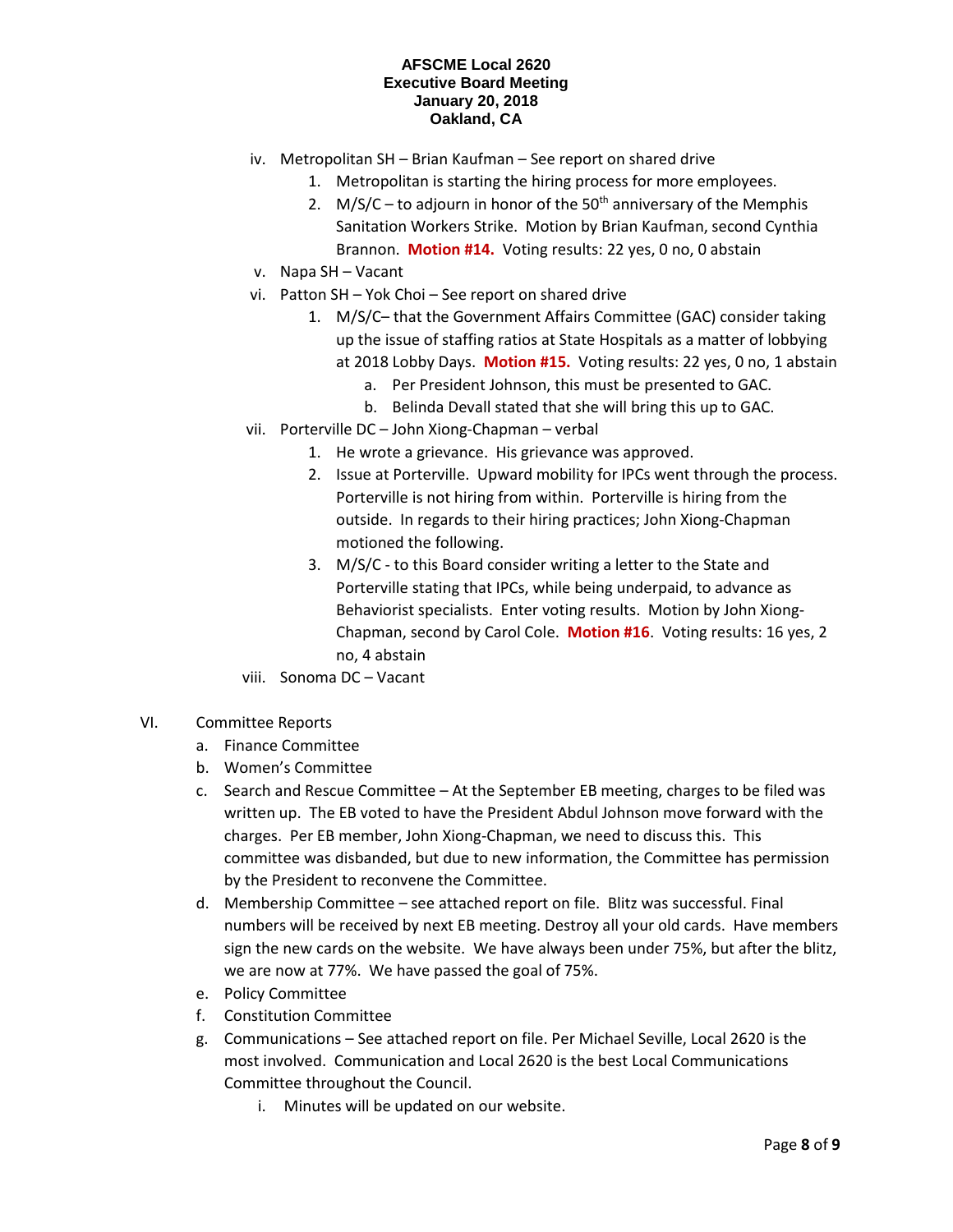- iv. Metropolitan SH Brian Kaufman See report on shared drive
	- 1. Metropolitan is starting the hiring process for more employees.
	- 2. M/S/C to adjourn in honor of the  $50<sup>th</sup>$  anniversary of the Memphis Sanitation Workers Strike. Motion by Brian Kaufman, second Cynthia Brannon. **Motion #14.** Voting results: 22 yes, 0 no, 0 abstain
- v. Napa SH Vacant
- vi. Patton SH Yok Choi See report on shared drive
	- 1. M/S/C– that the Government Affairs Committee (GAC) consider taking up the issue of staffing ratios at State Hospitals as a matter of lobbying at 2018 Lobby Days. **Motion #15.** Voting results: 22 yes, 0 no, 1 abstain
		- a. Per President Johnson, this must be presented to GAC.
		- b. Belinda Devall stated that she will bring this up to GAC.
- vii. Porterville DC John Xiong-Chapman verbal
	- 1. He wrote a grievance. His grievance was approved.
	- 2. Issue at Porterville. Upward mobility for IPCs went through the process. Porterville is not hiring from within. Porterville is hiring from the outside. In regards to their hiring practices; John Xiong-Chapman motioned the following.
	- 3. M/S/C to this Board consider writing a letter to the State and Porterville stating that IPCs, while being underpaid, to advance as Behaviorist specialists. Enter voting results. Motion by John Xiong-Chapman, second by Carol Cole. **Motion #16**. Voting results: 16 yes, 2 no, 4 abstain
- viii. Sonoma DC Vacant
- VI. Committee Reports
	- a. Finance Committee
	- b. Women's Committee
	- c. Search and Rescue Committee At the September EB meeting, charges to be filed was written up. The EB voted to have the President Abdul Johnson move forward with the charges. Per EB member, John Xiong-Chapman, we need to discuss this. This committee was disbanded, but due to new information, the Committee has permission by the President to reconvene the Committee.
	- d. Membership Committee see attached report on file. Blitz was successful. Final numbers will be received by next EB meeting. Destroy all your old cards. Have members sign the new cards on the website. We have always been under 75%, but after the blitz, we are now at 77%. We have passed the goal of 75%.
	- e. Policy Committee
	- f. Constitution Committee
	- g. Communications See attached report on file. Per Michael Seville, Local 2620 is the most involved. Communication and Local 2620 is the best Local Communications Committee throughout the Council.
		- i. Minutes will be updated on our website.